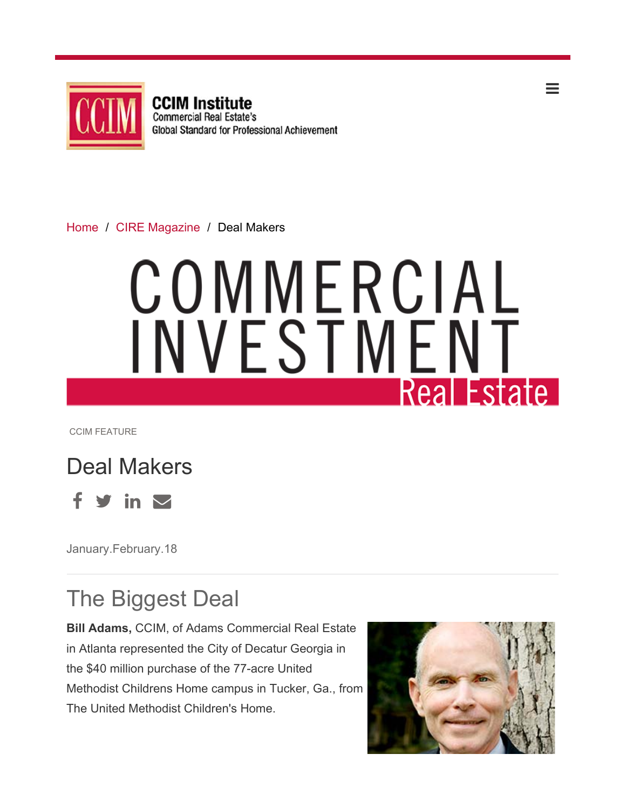

**CCIM Institute Commercial Real Estate's** Global Standard for Professional Achievement

Home / CIRE Magazine / Deal Makers

# COMMERCIAL INVESTMENT **Real Estate**

CCIM FEATURE



January.February.18

## The Biggest Deal

**Bill Adams,** CCIM, of Adams Commercial Real Estate in Atlanta represented the City of Decatur Georgia in the \$40 million purchase of the 77-acre United Methodist Childrens Home campus in Tucker, Ga., from The United Methodist Children's Home.



 $\, =$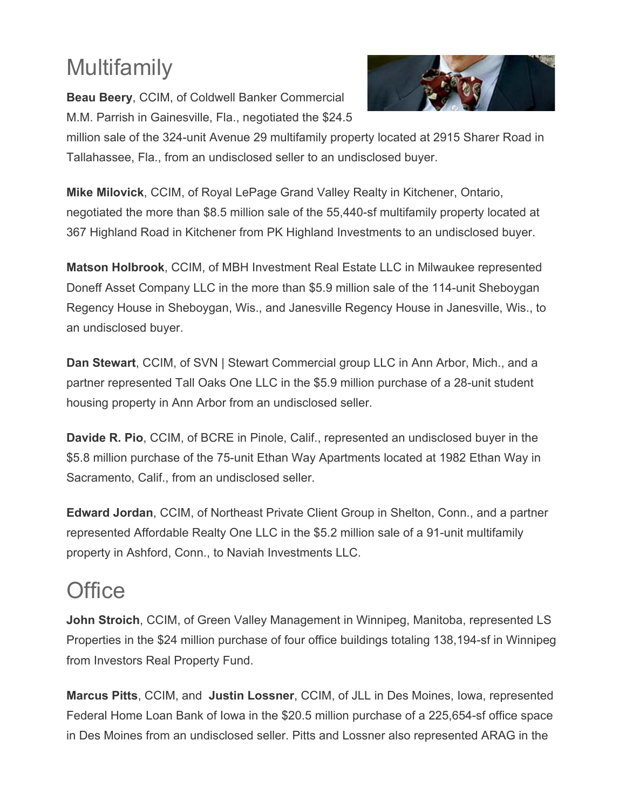# Multifamily

**Beau Beery**, CCIM, of Coldwell Banker Commercial M.M. Parrish in Gainesville, Fla., negotiated the \$24.5



million sale of the 324-unit Avenue 29 multifamily property located at 2915 Sharer Road in Tallahassee, Fla., from an undisclosed seller to an undisclosed buyer.

**Mike Milovick**, CCIM, of Royal LePage Grand Valley Realty in Kitchener, Ontario, negotiated the more than \$8.5 million sale of the 55,440-sf multifamily property located at 367 Highland Road in Kitchener from PK Highland Investments to an undisclosed buyer.

**Matson Holbrook**, CCIM, of MBH Investment Real Estate LLC in Milwaukee represented Doneff Asset Company LLC in the more than \$5.9 million sale of the 114-unit Sheboygan Regency House in Sheboygan, Wis., and Janesville Regency House in Janesville, Wis., to an undisclosed buyer.

**Dan Stewart**, CCIM, of SVN | Stewart Commercial group LLC in Ann Arbor, Mich., and a partner represented Tall Oaks One LLC in the \$5.9 million purchase of a 28-unit student housing property in Ann Arbor from an undisclosed seller.

**Davide R. Pio**, CCIM, of BCRE in Pinole, Calif., represented an undisclosed buyer in the \$5.8 million purchase of the 75-unit Ethan Way Apartments located at 1982 Ethan Way in Sacramento, Calif., from an undisclosed seller.

**Edward Jordan**, CCIM, of Northeast Private Client Group in Shelton, Conn., and a partner represented Affordable Realty One LLC in the \$5.2 million sale of a 91-unit multifamily property in Ashford, Conn., to Naviah Investments LLC.

#### **Office**

**John Stroich**, CCIM, of Green Valley Management in Winnipeg, Manitoba, represented LS Properties in the \$24 million purchase of four office buildings totaling 138,194-sf in Winnipeg from Investors Real Property Fund.

**Marcus Pitts**, CCIM, and **Justin Lossner**, CCIM, of JLL in Des Moines, Iowa, represented Federal Home Loan Bank of Iowa in the \$20.5 million purchase of a 225,654-sf office space in Des Moines from an undisclosed seller. Pitts and Lossner also represented ARAG in the